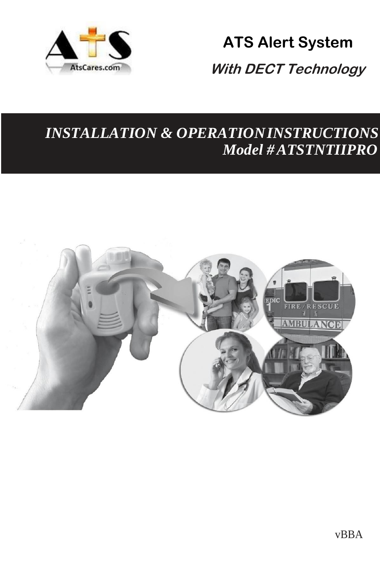

# **ATS Alert System With DECT Technology**

## *INSTALLATION & OPERATIONINSTRUCTIONS Model #ATSTNTIIPRO*

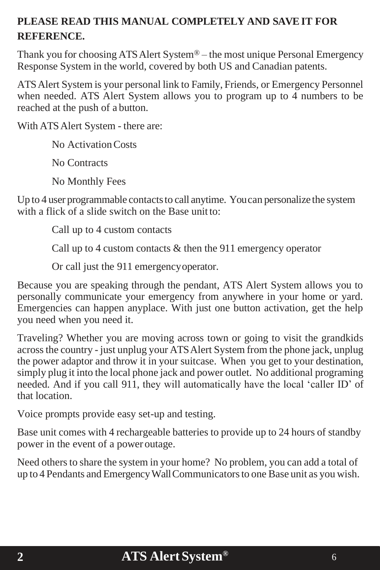### **PLEASE READ THIS MANUAL COMPLETELY AND SAVE IT FOR REFERENCE.**

Thank you for choosing ATS Alert System® – the most unique Personal Emergency Response System in the world, covered by both US and Canadian patents.

ATSAlert System is your personal link to Family, Friends, or Emergency Personnel when needed. ATS Alert System allows you to program up to 4 numbers to be reached at the push of a button.

With ATS Alert System - there are:

No Activation Costs

No Contracts

No Monthly Fees

Up to 4 user programmable contacts to call anytime. You can personalize the system with a flick of a slide switch on the Base unit to:

Call up to 4 custom contacts

Call up to 4 custom contacts & then the 911 emergency operator

Or call just the 911 emergencyoperator.

Because you are speaking through the pendant, ATS Alert System allows you to personally communicate your emergency from anywhere in your home or yard. Emergencies can happen anyplace. With just one button activation, get the help you need when you need it.

Traveling? Whether you are moving across town or going to visit the grandkids acrossthe country - just unplug your ATSAlert System from the phone jack, unplug the power adaptor and throw it in your suitcase. When you get to your destination, simply plug it into the local phone jack and power outlet. No additional programing needed. And if you call 911, they will automatically have the local 'caller ID' of that location.

Voice prompts provide easy set-up and testing.

Base unit comes with 4 rechargeable batteries to provide up to 24 hours of standby power in the event of a power outage.

Need others to share the system in your home? No problem, you can add a total of up to 4 Pendants and EmergencyWallCommunicatorsto one Base unit as you wish.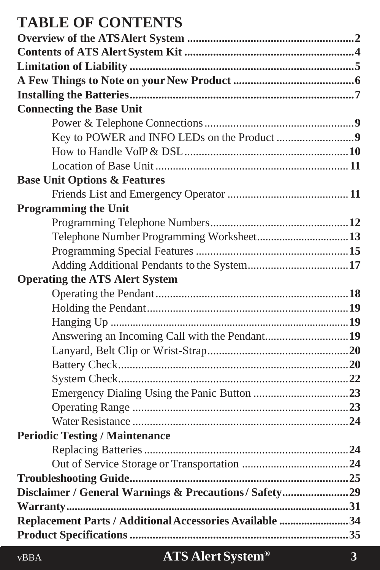## **TABLE OF CONTENTS**

| <b>Connecting the Base Unit</b>                         |  |
|---------------------------------------------------------|--|
|                                                         |  |
|                                                         |  |
|                                                         |  |
|                                                         |  |
| <b>Base Unit Options &amp; Features</b>                 |  |
|                                                         |  |
| <b>Programming the Unit</b>                             |  |
|                                                         |  |
|                                                         |  |
|                                                         |  |
| Adding Additional Pendants to the System17              |  |
| <b>Operating the ATS Alert System</b>                   |  |
|                                                         |  |
|                                                         |  |
|                                                         |  |
| Answering an Incoming Call with the Pendant19           |  |
|                                                         |  |
|                                                         |  |
|                                                         |  |
|                                                         |  |
|                                                         |  |
|                                                         |  |
| <b>Periodic Testing / Maintenance</b>                   |  |
|                                                         |  |
|                                                         |  |
|                                                         |  |
| Disclaimer / General Warnings & Precautions / Safety29  |  |
|                                                         |  |
| Replacement Parts / Additional Accessories Available 34 |  |
|                                                         |  |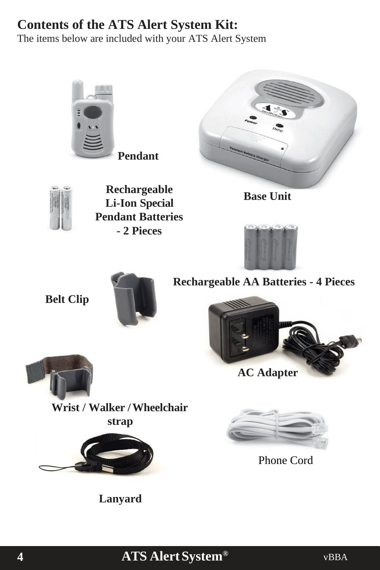## **Contents of the ATS Alert System Kit:**

The items below are included with your ATS Alert System

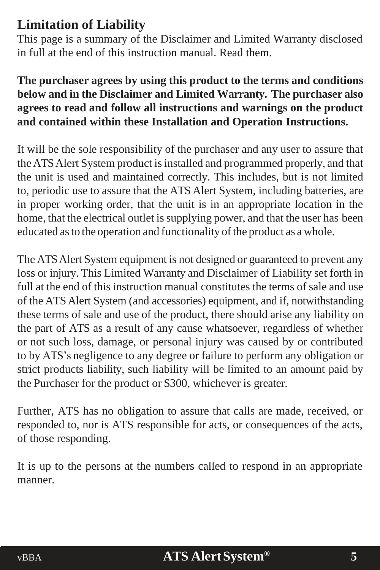## <span id="page-4-0"></span>**Limitation of Liability**

This page is a summary of the Disclaimer and Limited Warranty disclosed in full at the end of this instruction manual. Read them.

### **The purchaser agrees by using this product to the terms and conditions below and in the Disclaimer and Limited Warranty. The purchaser also agrees to read and follow all instructions and warnings on the product and contained within these Installation and Operation Instructions.**

It will be the sole responsibility of the purchaser and any user to assure that the ATS Alert System product is installed and programmed properly, and that the unit is used and maintained correctly. This includes, but is not limited to, periodic use to assure that the ATS Alert System, including batteries, are in proper working order, that the unit is in an appropriate location in the home, that the electrical outlet is supplying power, and that the user has been educated as to the operation and functionality of the product as a whole.

The ATSAlert System equipment is not designed or guaranteed to prevent any loss or injury. This Limited Warranty and Disclaimer of Liability set forth in full at the end of this instruction manual constitutes the terms of sale and use of the ATSAlert System (and accessories) equipment, and if, notwithstanding these terms of sale and use of the product, there should arise any liability on the part of ATS as a result of any cause whatsoever, regardless of whether or not such loss, damage, or personal injury was caused by or contributed to by ATS's negligence to any degree or failure to perform any obligation or strict products liability, such liability will be limited to an amount paid by the Purchaser for the product or \$300, whichever is greater.

Further, ATS has no obligation to assure that calls are made, received, or responded to, nor is ATS responsible for acts, or consequences of the acts, of those responding.

It is up to the persons at the numbers called to respond in an appropriate manner.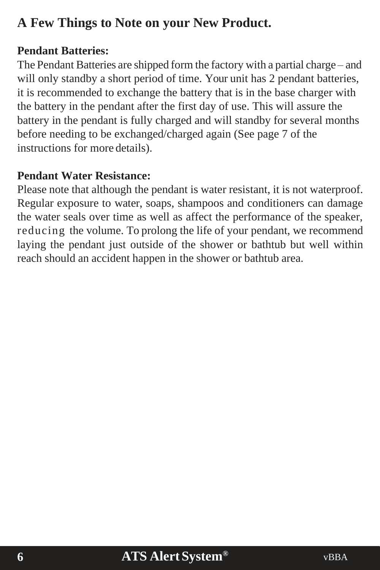## <span id="page-5-0"></span>**A Few Things to Note on your New Product.**

### **Pendant Batteries:**

The Pendant Batteries are shipped form the factory with a partial charge – and will only standby a short period of time. Your unit has 2 pendant batteries, it is recommended to exchange the battery that is in the base charger with the battery in the pendant after the first day of use. This will assure the battery in the pendant is fully charged and will standby for several months before needing to be exchanged/charged again (See page 7 of the instructions for more details).

### **Pendant Water Resistance:**

Please note that although the pendant is water resistant, it is not waterproof. Regular exposure to water, soaps, shampoos and conditioners can damage the water seals over time as well as affect the performance of the speaker, reducing the volume. To prolong the life of your pendant, we recommend laying the pendant just outside of the shower or bathtub but well within reach should an accident happen in the shower or bathtub area.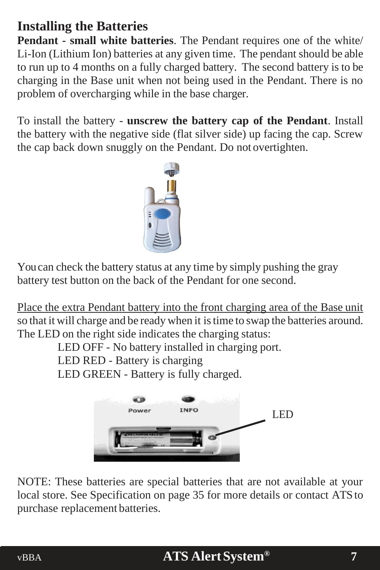## <span id="page-6-0"></span>**Installing the Batteries**

**Pendant - small white batteries**. The Pendant requires one of the white/ Li-Ion (Lithium Ion) batteries at any given time. The pendant should be able to run up to 4 months on a fully charged battery. The second battery is to be charging in the Base unit when not being used in the Pendant. There is no problem of overcharging while in the base charger.

To install the battery - **unscrew the battery cap of the Pendant**. Install the battery with the negative side (flat silver side) up facing the cap. Screw the cap back down snuggly on the Pendant. Do not overtighten.



Youcan check the battery status at any time by simply pushing the gray battery test button on the back of the Pendant for one second.

Place the extra Pendant battery into the front charging area of the Base unit so that it will charge and be ready when it istime to swap the batteries around. The LED on the right side indicates the charging status:

LED OFF - No battery installed in charging port.

LED RED - Battery is charging

LED GREEN - Battery is fully charged.



NOTE: These batteries are special batteries that are not available at your local store. See Specification on page 35 for more details or contact ATS to purchase replacement batteries.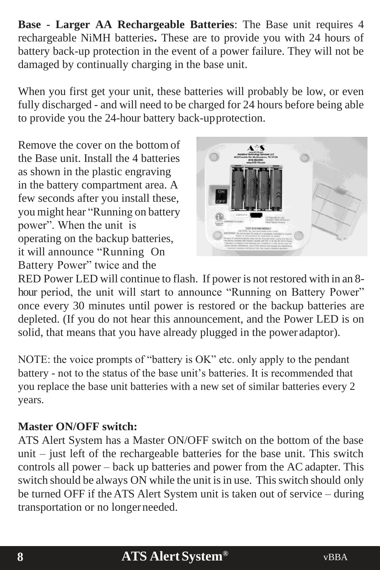**Base - Larger AA Rechargeable Batteries**: The Base unit requires 4 rechargeable NiMH batteries**.** These are to provide you with 24 hours of battery back-up protection in the event of a power failure. They will not be damaged by continually charging in the base unit.

When you first get your unit, these batteries will probably be low, or even fully discharged - and will need to be charged for 24 hours before being able to provide you the 24-hour battery back-upprotection.

Remove the cover on the bottom of the Base unit. Install the 4 batteries as shown in the plastic engraving in the battery compartment area. A few seconds after you install these, you might hear "Running on battery power". When the unit is operating on the backup batteries, it will announce "Running On Battery Power" twice and the



RED Power LED will continue to flash. If power is not restored with in an 8 hour period, the unit will start to announce "Running on Battery Power" once every 30 minutes until power is restored or the backup batteries are depleted. (If you do not hear this announcement, and the Power LED is on solid, that means that you have already plugged in the power adaptor).

NOTE: the voice prompts of "battery is OK" etc. only apply to the pendant battery - not to the status of the base unit's batteries. It is recommended that you replace the base unit batteries with a new set of similar batteries every 2 years.

### **Master ON/OFF switch:**

ATS Alert System has a Master ON/OFF switch on the bottom of the base unit – just left of the rechargeable batteries for the base unit. This switch controls all power – back up batteries and power from the AC adapter. This switch should be always ON while the unit is in use. This switch should only be turned OFF if the ATS Alert System unit is taken out of service – during transportation or no longerneeded.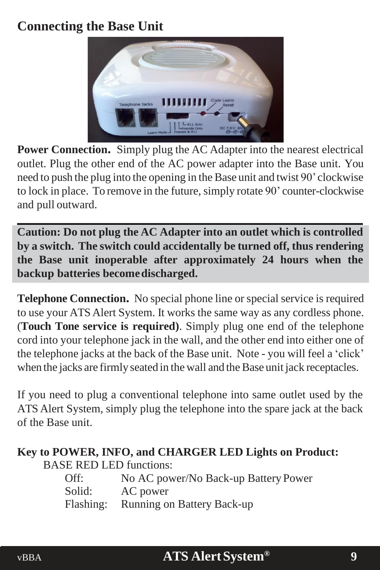## <span id="page-8-0"></span>**Connecting the Base Unit**



**Power Connection.** Simply plug the AC Adapter into the nearest electrical outlet. Plug the other end of the AC power adapter into the Base unit. You need to push the plug into the opening in the Base unit and twist 90' clockwise to lock in place. To remove in the future, simply rotate 90' counter-clockwise and pull outward.

**Caution: Do not plug the AC Adapter into an outlet which is controlled by a switch. The switch could accidentally be turned off, thus rendering the Base unit inoperable after approximately 24 hours when the backup batteries becomedischarged.**

**Telephone Connection.** No special phone line or special service is required to use your ATSAlert System. It works the same way as any cordless phone. (**Touch Tone service is required)**. Simply plug one end of the telephone cord into your telephone jack in the wall, and the other end into either one of the telephone jacks at the back of the Base unit. Note - you will feel a 'click' when the jacks are firmly seated in the wall and the Base unit jack receptacles.

If you need to plug a conventional telephone into same outlet used by the ATS Alert System, simply plug the telephone into the spare jack at the back of the Base unit.

### **Key to POWER, INFO, and CHARGER LED Lights on Product:**

BASE RED LED functions:

| Off:   | No AC power/No Back-up Battery Power |
|--------|--------------------------------------|
| Solid: | AC power                             |
|        | Flashing: Running on Battery Back-up |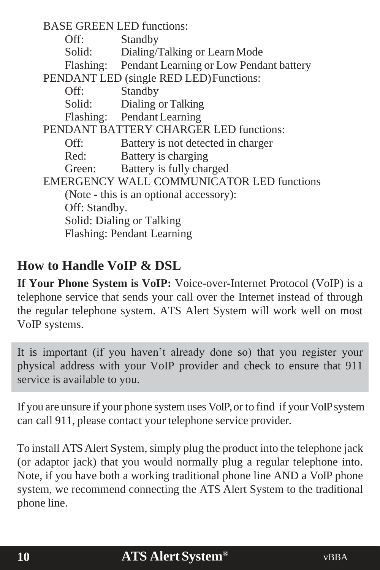BASE GREEN LED functions: Off: Standby Solid: Dialing/Talking or Learn Mode Flashing: Pendant Learning or Low Pendant battery PENDANT LED (single RED LED)Functions: Off: Standby Solid: Dialing or Talking Flashing: Pendant Learning PENDANT BATTERY CHARGER LED functions: Off: Battery is not detected in charger Red: Battery is charging Green: Battery is fully charged EMERGENCY WALL COMMUNICATOR LED functions (Note - this is an optional accessory): Off: Standby. Solid: Dialing or Talking Flashing: Pendant Learning

### <span id="page-9-0"></span>**How to Handle VoIP & DSL**

**If Your Phone System is VoIP:** Voice-over-Internet Protocol (VoIP) is a telephone service that sends your call over the Internet instead of through the regular telephone system. ATS Alert System will work well on most VoIP systems.

It is important (if you haven't already done so) that you register your physical address with your VoIP provider and check to ensure that 911 service is available to you.

If you are unsure if your phone systemuses VoIP,or to find if your VoIPsystem can call 911, please contact your telephone service provider.

To install ATSAlert System, simply plug the product into the telephone jack (or adaptor jack) that you would normally plug a regular telephone into. Note, if you have both a working traditional phone line AND a VoIP phone system, we recommend connecting the ATS Alert System to the traditional phone line.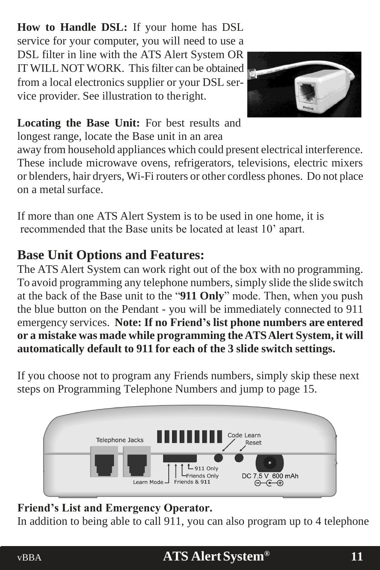**How to Handle DSL:** If your home has DSL service for your computer, you will need to use a DSL filter in line with the ATS Alert System OR IT WILL NOT WORK. This filter can be obtained from a local electronics supplier or your DSL service provider. See illustration to theright.



### **Locating the Base Unit:** For best results and longest range, locate the Base unit in an area

away from household appliances which could present electrical interference. These include microwave ovens, refrigerators, televisions, electric mixers or blenders, hair dryers, Wi-Fi routers or other cordless phones. Do not place on a metal surface.

If more than one ATS Alert System is to be used in one home, it is recommended that the Base units be located at least 10' apart.

## **Base Unit Options and Features:**

The ATS Alert System can work right out of the box with no programming. To avoid programming any telephone numbers, simply slide the slide switch at the back of the Base unit to the "**911 Only**" mode. Then, when you push the blue button on the Pendant - you will be immediately connected to 911 emergency services. **Note: If no Friend's list phone numbers are entered or a mistake was made while programming the ATSAlert System, it will automatically default to 911 for each of the 3 slide switch settings.**

If you choose not to program any Friends numbers, simply skip these next steps on Programming Telephone Numbers and jump to page 15.



### <span id="page-10-0"></span>**Friend's List and Emergency Operator.**

In addition to being able to call 911, you can also program up to 4 telephone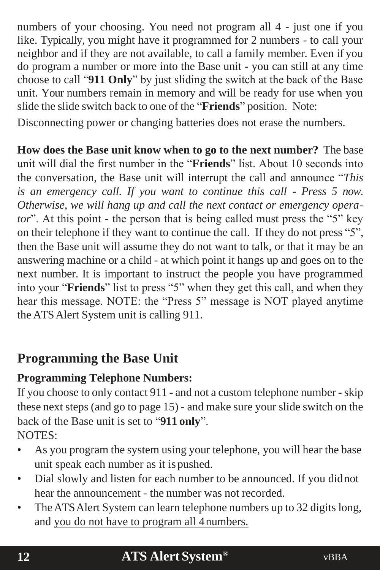numbers of your choosing. You need not program all 4 - just one if you like. Typically, you might have it programmed for 2 numbers - to call your neighbor and if they are not available, to call a family member. Even if you do program a number or more into the Base unit - you can still at any time choose to call "**911 Only**" by just sliding the switch at the back of the Base unit. Your numbers remain in memory and will be ready for use when you slide the slide switch back to one of the "**Friends**" position. Note:

Disconnecting power or changing batteries does not erase the numbers.

**How does the Base unit know when to go to the next number?** The base unit will dial the first number in the "**Friends**" list. About 10 seconds into the conversation, the Base unit will interrupt the call and announce "*This is an emergency call. If you want to continue this call - Press 5 now. Otherwise, we will hang up and call the next contact or emergency operator*". At this point - the person that is being called must press the "5" key on their telephone if they want to continue the call. If they do not press "5", then the Base unit will assume they do not want to talk, or that it may be an answering machine or a child - at which point it hangs up and goes on to the next number. It is important to instruct the people you have programmed into your "**Friends**" list to press "5" when they get this call, and when they hear this message. NOTE: the "Press 5" message is NOT played anytime the ATSAlert System unit is calling 911.

## **Programming the Base Unit**

### <span id="page-11-0"></span>**Programming Telephone Numbers:**

If you choose to only contact 911 - and not a custom telephone number - skip these next steps (and go to page 15) - and make sure your slide switch on the back of the Base unit is set to "**911 only**".

NOTES:

- As you program the system using your telephone, you will hear the base unit speak each number as it is pushed.
- Dial slowly and listen for each number to be announced. If you didnot hear the announcement - the number was not recorded.
- The ATS Alert System can learn telephone numbers up to 32 digits long, and you do not have to program all 4numbers.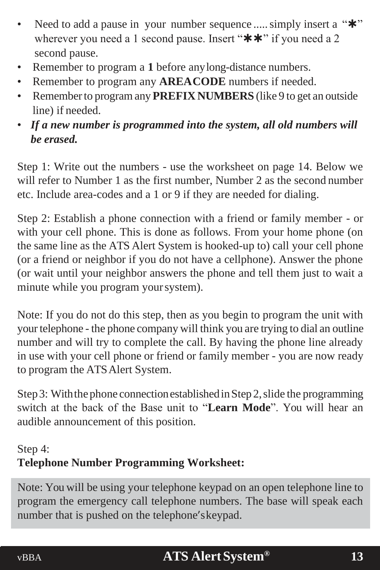- Need to add a pause in your number sequence ..... simply insert a "\*" wherever you need a 1 second pause. Insert " $**$ " if you need a 2 second pause.
- Remember to program a **1** before anylong-distance numbers.
- Remember to program any **AREACODE** numbers if needed.
- Rememberto programany**PREFIX NUMBERS** (like 9 to get an outside line) if needed.
- *If a new number is programmed into the system, all old numbers will be erased.*

Step 1: Write out the numbers - use the worksheet on page 14. Below we will refer to Number 1 as the first number. Number 2 as the second number etc. Include area-codes and a 1 or 9 if they are needed for dialing.

Step 2: Establish a phone connection with a friend or family member - or with your cell phone. This is done as follows. From your home phone (on the same line as the ATS Alert System is hooked-up to) call your cell phone (or a friend or neighbor if you do not have a cellphone). Answer the phone (or wait until your neighbor answers the phone and tell them just to wait a minute while you program yoursystem).

Note: If you do not do this step, then as you begin to program the unit with yourtelephone - the phone company will think you are trying to dial an outline number and will try to complete the call. By having the phone line already in use with your cell phone or friend or family member - you are now ready to program the ATSAlert System.

Step 3: With the phone connection established in Step 2, slide the programming switch at the back of the Base unit to "**Learn Mode**". You will hear an audible announcement of this position.

### <span id="page-12-0"></span>Step 4: **Telephone Number Programming Worksheet:**

Note: You will be using your telephone keypad on an open telephone line to program the emergency call telephone numbers. The base will speak each number that is pushed on the telephone'skeypad.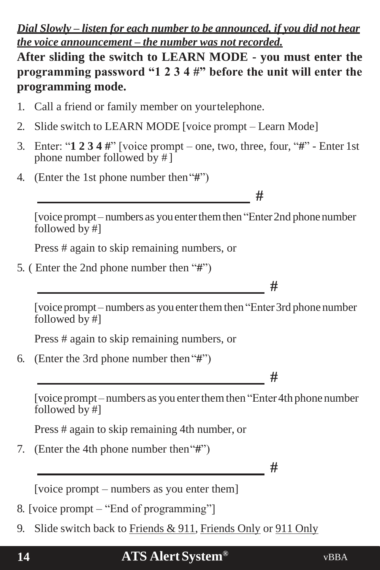### *Dial Slowly – listen for each number to be announced, if you did not hear the voice announcement – the number was not recorded.*

**After sliding the switch to LEARN MODE - you must enter the programming password "1 2 3 4 #" before the unit will enter the programming mode.**

- 1. Call a friend or family member on yourtelephone.
- 2. Slide switch to LEARN MODE [voice prompt Learn Mode]
- 3. Enter: "**1 2 3 4 #**" [voice prompt one, two, three, four, "**#**" Enter 1st phone number followed by # ]
- 4. (Enter the 1st phone number then"**#**")

**#**

[voice prompt–numbers as you enter them then "Enter 2nd phone number" followed by #]

Press # again to skip remaining numbers, or

5. ( Enter the 2nd phone number then "**#**")

**#**

[voice prompt – numbers as you enter them then "Enter 3rd phone number" followed by #]

Press # again to skip remaining numbers, or

6. (Enter the 3rd phone number then"**#**")

**#**

[voice prompt – numbers as you enter them then "Enter 4th phone number" followed by #]

Press # again to skip remaining 4th number, or

7. (Enter the 4th phone number then"**#**")

**#**

[voice prompt – numbers as you enter them]

8. [voice prompt – "End of programming"]

9. Slide switch back to Friends & 911, Friends Only or 911 Only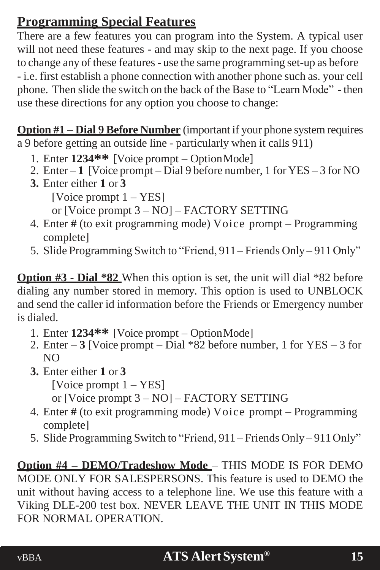## <span id="page-14-0"></span>**Programming Special Features**

There are a few features you can program into the System. A typical user will not need these features - and may skip to the next page. If you choose to change any of these features- use the same programming set-up as before - i.e. first establish a phone connection with another phone such as. your cell phone. Then slide the switch on the back of the Base to "Learn Mode" - then use these directions for any option you choose to change:

**Option #1 – Dial 9 Before Number** (important if your phone system requires a 9 before getting an outside line - particularly when it calls 911)

- 1. Enter **1234\*\*** [Voice prompt OptionMode]
- 2. Enter  $-1$  [Voice prompt Dial 9 before number, 1 for YES 3 for NO
- **3.** Enter either **1** or **3**

[Voice prompt 1 – YES]

or [Voice prompt 3 – NO] – FACTORY SETTING

- 4. Enter **#** (to exit programming mode) Voice prompt Programming complete]
- 5. Slide Programming Switch to "Friend, 911 Friends Only 911Only"

**Option #3 - Dial \*82** When this option is set, the unit will dial \*82 before dialing any number stored in memory. This option is used to UNBLOCK and send the caller id information before the Friends or Emergency number is dialed.

- 1. Enter **1234\*\*** [Voice prompt OptionMode]
- 2. Enter **3** [Voice prompt Dial \*82 before number, 1 for YES 3 for  $N()$
- **3.** Enter either **1** or **3**

[Voice prompt 1 – YES]

or [Voice prompt 3 – NO] – FACTORY SETTING

- 4. Enter **#** (to exit programming mode) Voice prompt Programming complete]
- 5. Slide Programming Switch to "Friend, 911 Friends Only 911Only"

**Option #4 – DEMO/Tradeshow Mode** – THIS MODE IS FOR DEMO MODE ONLY FOR SALESPERSONS. This feature is used to DEMO the unit without having access to a telephone line. We use this feature with a Viking DLE-200 test box. NEVER LEAVE THE UNIT IN THIS MODE FOR NORMAL OPERATION.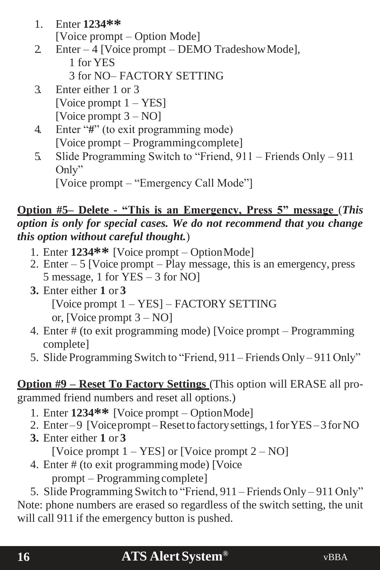- 1. Enter **1234\*\*** [Voice prompt – Option Mode]
- 2 Enter 4 [Voice prompt DEMO Tradeshow Mode], 1 for YES
	- 3 for NO– FACTORY SETTING
- 3. Enter either 1 or 3 [Voice prompt 1 – YES] [Voice prompt 3 – NO]
- 4. Enter "**#**" (to exit programming mode) [Voice prompt – Programmingcomplete]
- 5. Slide Programming Switch to "Friend, 911 Friends Only 911 Only"

[Voice prompt – "Emergency Call Mode"]

### **Option #5– Delete - "This is an Emergency, Press 5" message** (*This option is only for special cases. We do not recommend that you change this option without careful thought.*)

- 1. Enter **1234\*\*** [Voice prompt OptionMode]
- 2. Enter 5 [Voice prompt Play message, this is an emergency, press 5 message, 1 for YES – 3 for NO]
- **3.** Enter either **1** or **3** [Voice prompt 1 – YES] – FACTORY SETTING or, [Voice prompt 3 – NO]
- 4. Enter # (to exit programming mode) [Voice prompt Programming complete]
- 5. Slide Programming Switch to "Friend, 911 Friends Only 911Only"

**Option #9 – Reset To Factory Settings** (This option will ERASE all programmed friend numbers and reset all options.)

- 1. Enter **1234\*\*** [Voice prompt OptionMode]
- 2. Enter–9 [Voiceprompt–Resettofactorysettings,1forYES–3 forNO
- **3.** Enter either **1** or **3**

[Voice prompt 1 – YES] or [Voice prompt 2 – NO]

4. Enter # (to exit programmingmode) [Voice prompt – Programming complete]

5. Slide Programming Switch to "Friend, 911 – Friends Only – 911 Only" Note: phone numbers are erased so regardless of the switch setting, the unit will call 911 if the emergency button is pushed.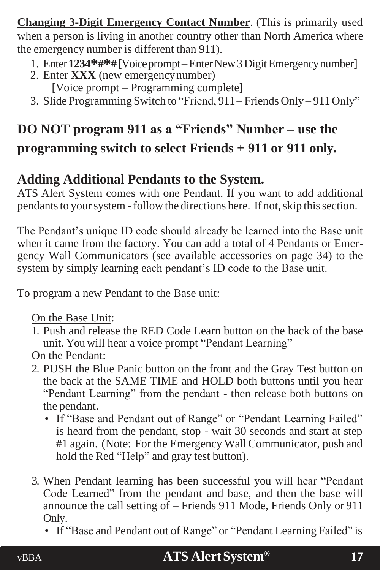**Changing 3-Digit Emergency Contact Number**. (This is primarily used when a person is living in another country other than North America where the emergency number is different than 911).

- 1. Enter**1234\*#\*#**[Voiceprompt–EnterNew3DigitEmergencynumber]
- 2. Enter **XXX** (new emergencynumber) [Voice prompt – Programming complete]
- 3. Slide Programming Switch to "Friend, 911– Friends Only 911Only"

## **DO NOT program 911 as a "Friends" Number – use the programming switch to select Friends + 911 or 911 only.**

### <span id="page-16-0"></span>**Adding Additional Pendants to the System.**

ATS Alert System comes with one Pendant. If you want to add additional pendants to your system - follow the directions here. If not, skip this section.

The Pendant's unique ID code should already be learned into the Base unit when it came from the factory. You can add a total of 4 Pendants or Emergency Wall Communicators (see available accessories on page 34) to the system by simply learning each pendant's ID code to the Base unit.

To program a new Pendant to the Base unit:

On the Base Unit:

- 1. Push and release the RED Code Learn button on the back of the base unit. You will hear a voice prompt "Pendant Learning"
- On the Pendant:
- 2. PUSH the Blue Panic button on the front and the Gray Test button on the back at the SAME TIME and HOLD both buttons until you hear "Pendant Learning" from the pendant - then release both buttons on the pendant.
	- If "Base and Pendant out of Range" or "Pendant Learning Failed" is heard from the pendant, stop - wait 30 seconds and start at step #1 again. (Note: For the Emergency Wall Communicator, push and hold the Red "Help" and gray test button).
- 3. When Pendant learning has been successful you will hear "Pendant Code Learned" from the pendant and base, and then the base will announce the call setting of – Friends 911 Mode, Friends Only or 911 Only.
	- If "Base and Pendant out of Range" or "Pendant Learning Failed" is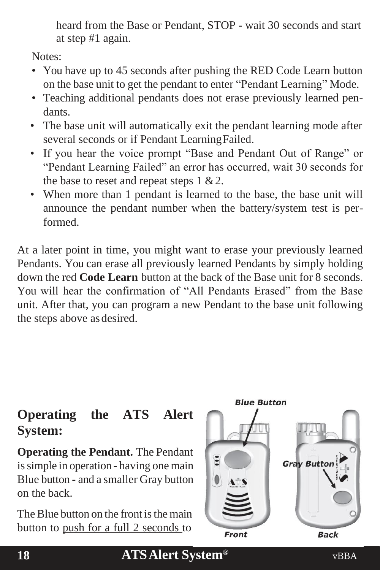heard from the Base or Pendant, STOP - wait 30 seconds and start at step #1 again.

Notes:

- You have up to 45 seconds after pushing the RED Code Learn button on the base unit to get the pendant to enter "Pendant Learning" Mode.
- Teaching additional pendants does not erase previously learned pendants.
- The base unit will automatically exit the pendant learning mode after several seconds or if Pendant LearningFailed.
- If you hear the voice prompt "Base and Pendant Out of Range" or "Pendant Learning Failed" an error has occurred, wait 30 seconds for the base to reset and repeat steps  $1 \& 2$ .
- When more than 1 pendant is learned to the base, the base unit will announce the pendant number when the battery/system test is performed.

At a later point in time, you might want to erase your previously learned Pendants. You can erase all previously learned Pendants by simply holding down the red **Code Learn** button at the back of the Base unit for 8 seconds. You will hear the confirmation of "All Pendants Erased" from the Base unit. After that, you can program a new Pendant to the base unit following the steps above asdesired.

## <span id="page-17-0"></span>**Operating the ATS Alert System:**

**Operating the Pendant.** The Pendant is simple in operation - having one main Blue button - and a smaller Gray button on the back.

The Blue button on the front is the main button to push for a full 2 seconds to

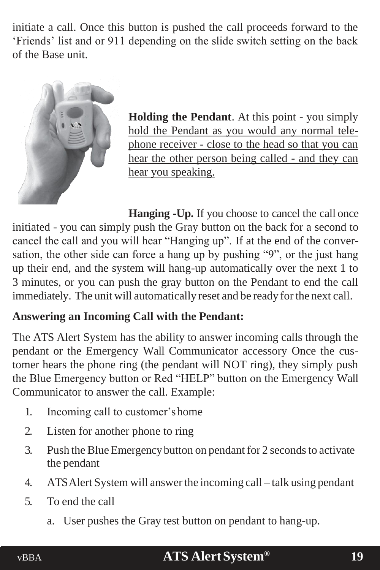initiate a call. Once this button is pushed the call proceeds forward to the 'Friends' list and or 911 depending on the slide switch setting on the back of the Base unit.



**Holding the Pendant**. At this point - you simply hold the Pendant as you would any normal telephone receiver - close to the head so that you can hear the other person being called - and they can hear you speaking.

**Hanging -Up.** If you choose to cancel the call once initiated - you can simply push the Gray button on the back for a second to cancel the call and you will hear "Hanging up". If at the end of the conversation, the other side can force a hang up by pushing "9", or the just hang up their end, and the system will hang-up automatically over the next 1 to 3 minutes, or you can push the gray button on the Pendant to end the call immediately. The unit will automatically reset and be ready forthe next call.

### <span id="page-18-0"></span>**Answering an Incoming Call with the Pendant:**

The ATS Alert System has the ability to answer incoming calls through the pendant or the Emergency Wall Communicator accessory Once the customer hears the phone ring (the pendant will NOT ring), they simply push the Blue Emergency button or Red "HELP" button on the Emergency Wall Communicator to answer the call. Example:

- 1. Incoming call to customer'shome
- 2. Listen for another phone to ring
- 3. Push the Blue Emergency button on pendant for 2 seconds to activate the pendant
- 4. ATSAlert System will answerthe incoming call talk using pendant
- 5. To end the call
	- a. User pushes the Gray test button on pendant to hang-up.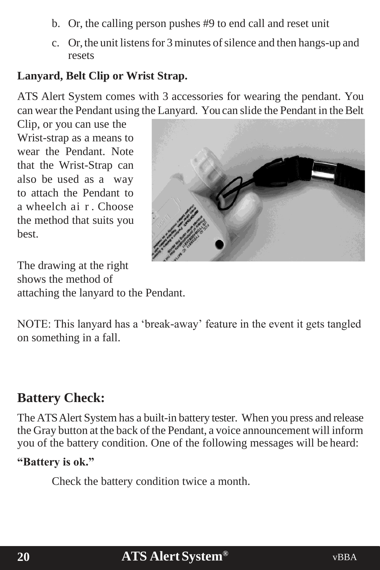- b. Or, the calling person pushes #9 to end call and reset unit
- <span id="page-19-0"></span>c. Or, the unit listens for 3 minutes of silence and then hangs-up and resets

### **Lanyard, Belt Clip or Wrist Strap.**

ATS Alert System comes with 3 accessories for wearing the pendant. You can wear the Pendant using the Lanyard. You can slide the Pendant in the Belt

Clip, or you can use the Wrist-strap as a means to wear the Pendant. Note that the Wrist-Strap can also be used as a way to attach the Pendant to a wheelch ai r . Choose the method that suits you best.

The drawing at the right shows the method of attaching the lanyard to the Pendant.



### <span id="page-19-1"></span>**Battery Check:**

on something in a fall.

The ATSAlert System has a built-in battery tester. When you press and release the Gray button at the back of the Pendant, a voice announcement will inform you of the battery condition. One of the following messages will be heard:

#### **"Battery is ok."**

Check the battery condition twice a month.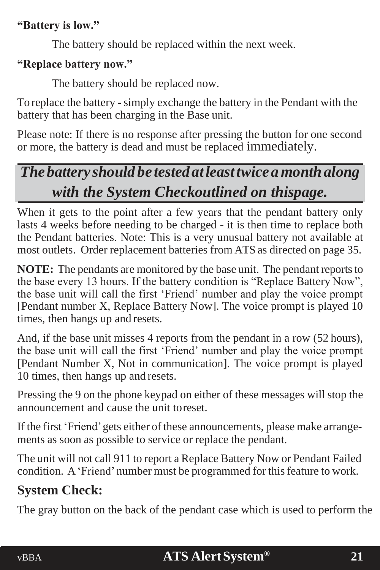### **"Battery is low."**

The battery should be replaced within the next week.

### **"Replace battery now."**

The battery should be replaced now.

To replace the battery - simply exchange the battery in the Pendant with the battery that has been charging in the Base unit.

Please note: If there is no response after pressing the button for one second or more, the battery is dead and must be replaced immediately.

## *The battery should be tested atleasttwice amonthalong with the System Checkoutlined on thispage.*

When it gets to the point after a few years that the pendant battery only lasts 4 weeks before needing to be charged - it is then time to replace both the Pendant batteries. Note: This is a very unusual battery not available at most outlets. Order replacement batteries from ATS as directed on page 35.

**NOTE:** The pendants are monitored by the base unit. The pendant reports to the base every 13 hours. If the battery condition is "Replace Battery Now", the base unit will call the first 'Friend' number and play the voice prompt [Pendant number X, Replace Battery Now]. The voice prompt is played 10 times, then hangs up and resets.

And, if the base unit misses 4 reports from the pendant in a row (52 hours), the base unit will call the first 'Friend' number and play the voice prompt [Pendant Number X, Not in communication]. The voice prompt is played 10 times, then hangs up and resets.

Pressing the 9 on the phone keypad on either of these messages will stop the announcement and cause the unit toreset.

If the first 'Friend'gets either of these announcements, please make arrangements as soon as possible to service or replace the pendant.

The unit will not call 911 to report a Replace Battery Now or Pendant Failed condition. A 'Friend' number must be programmed for this feature to work.

## <span id="page-20-0"></span>**System Check:**

The gray button on the back of the pendant case which is used to perform the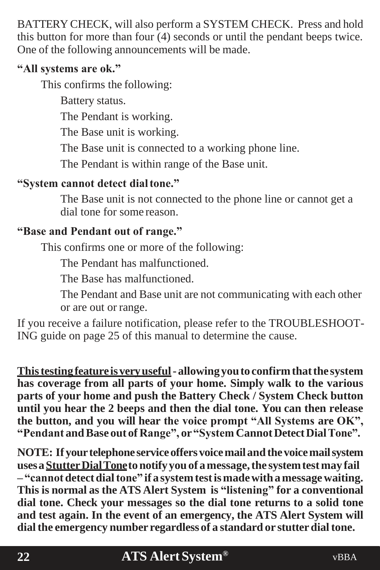BATTERY CHECK, will also perform a SYSTEM CHECK. Press and hold this button for more than four (4) seconds or until the pendant beeps twice. One of the following announcements will be made.

### **"All systems are ok."**

This confirms the following:

Battery status.

The Pendant is working.

The Base unit is working.

The Base unit is connected to a working phone line.

The Pendant is within range of the Base unit.

### **"System cannot detect dialtone."**

The Base unit is not connected to the phone line or cannot get a dial tone for some reason.

### **"Base and Pendant out of range."**

This confirms one or more of the following:

The Pendant has malfunctioned.

The Base has malfunctioned.

The Pendant and Base unit are not communicating with each other or are out or range.

If you receive a failure notification, please refer to the TROUBLESHOOT-ING guide on page 25 of this manual to determine the cause.

**Thistestingfeatureisveryuseful- allowingyouto confirmthatthe system has coverage from all parts of your home. Simply walk to the various parts of your home and push the Battery Check / System Check button until you hear the 2 beeps and then the dial tone. You can then release the button, and you will hear the voice prompt "All Systems are OK", "Pendant andBase out of Range", or"System CannotDetectDialTone".**

**NOTE: If yourtelephone serviceoffersvoicemailandthevoicemailsystem usesaStutterDialTonetonotifyyouof amessage,the systemtestmay fail – "cannotdetectdialtone" if a systemtestismadewithamessagewaiting. This is normal as the ATS Alert System is "listening" for a conventional dial tone. Check your messages so the dial tone returns to a solid tone and test again. In the event of an emergency, the ATS Alert System will dialthe emergency number regardless of a standard or stutterdialtone.**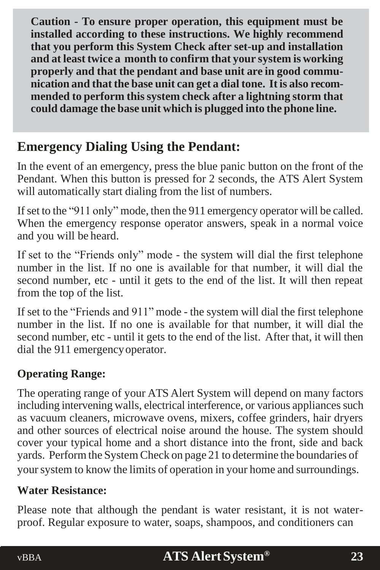**Caution - To ensure proper operation, this equipment must be installed according to these instructions. We highly recommend that you perform this System Check after set-up and installation and at leasttwice a month to confirm that your system is working properly and that the pendant and base unit are in good communication and that the base unit can get a dial tone. It is also recommended to perform thissystem check after a lightning storm that could damage the base unit which is plugged into the phone line.**

## **Emergency Dialing Using the Pendant:**

In the event of an emergency, press the blue panic button on the front of the Pendant. When this button is pressed for 2 seconds, the ATS Alert System will automatically start dialing from the list of numbers.

If set to the "911 only" mode, then the 911 emergency operator will be called. When the emergency response operator answers, speak in a normal voice and you will be heard.

If set to the "Friends only" mode - the system will dial the first telephone number in the list. If no one is available for that number, it will dial the second number, etc - until it gets to the end of the list. It will then repeat from the top of the list.

If set to the "Friends and 911" mode - the system will dial the first telephone number in the list. If no one is available for that number, it will dial the second number, etc - until it gets to the end of the list. After that, it will then dial the 911 emergencyoperator.

### <span id="page-22-0"></span>**Operating Range:**

The operating range of your ATS Alert System will depend on many factors including intervening walls, electrical interference, or various appliances such as vacuum cleaners, microwave ovens, mixers, coffee grinders, hair dryers and other sources of electrical noise around the house. The system should cover your typical home and a short distance into the front, side and back yards. Perform the System Check on page 21 to determine the boundaries of your system to know the limits of operation in your home and surroundings.

### <span id="page-22-1"></span>**Water Resistance:**

Please note that although the pendant is water resistant, it is not waterproof. Regular exposure to water, soaps, shampoos, and conditioners can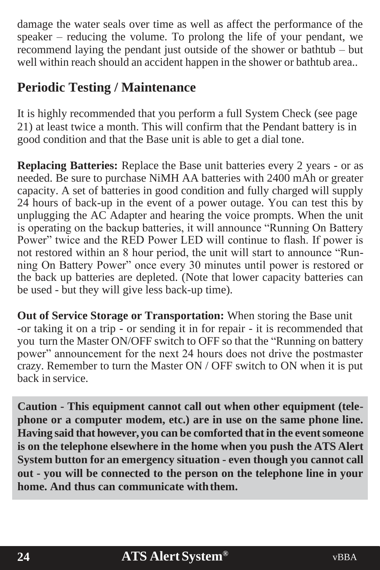damage the water seals over time as well as affect the performance of the speaker – reducing the volume. To prolong the life of your pendant, we recommend laying the pendant just outside of the shower or bathtub – but well within reach should an accident happen in the shower or bathtub area..

## <span id="page-23-0"></span>**Periodic Testing / Maintenance**

It is highly recommended that you perform a full System Check (see page 21) at least twice a month. This will confirm that the Pendant battery is in good condition and that the Base unit is able to get a dial tone.

**Replacing Batteries:** Replace the Base unit batteries every 2 years - or as needed. Be sure to purchase NiMH AA batteries with 2400 mAh or greater capacity. A set of batteries in good condition and fully charged will supply 24 hours of back-up in the event of a power outage. You can test this by unplugging the AC Adapter and hearing the voice prompts. When the unit is operating on the backup batteries, it will announce "Running On Battery Power" twice and the RED Power LED will continue to flash. If power is not restored within an 8 hour period, the unit will start to announce "Running On Battery Power" once every 30 minutes until power is restored or the back up batteries are depleted. (Note that lower capacity batteries can be used - but they will give less back-up time).

**Out of Service Storage or Transportation:** When storing the Base unit -or taking it on a trip - or sending it in for repair - it is recommended that you turn the Master ON/OFF switch to OFF so that the "Running on battery power" announcement for the next 24 hours does not drive the postmaster crazy. Remember to turn the Master ON / OFF switch to ON when it is put back in service.

**Caution - This equipment cannot call out when other equipment (telephone or a computer modem, etc.) are in use on the same phone line. Having said that however, you can be comforted thatin the eventsomeone is on the telephone elsewhere in the home when you push the ATS Alert System button for an emergency situation - even though you cannot call out - you will be connected to the person on the telephone line in your home. And thus can communicate withthem.**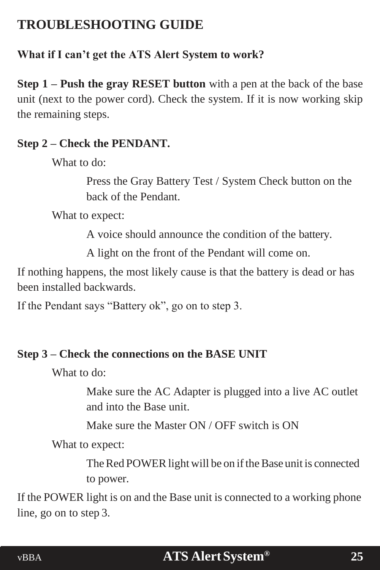## <span id="page-24-0"></span>**TROUBLESHOOTING GUIDE**

### **What if I can't get the ATS Alert System to work?**

**Step 1 – Push the gray RESET button** with a pen at the back of the base unit (next to the power cord). Check the system. If it is now working skip the remaining steps.

### **Step 2 – Check the PENDANT.**

What to do:

Press the Gray Battery Test / System Check button on the back of the Pendant.

What to expect:

A voice should announce the condition of the battery.

A light on the front of the Pendant will come on.

If nothing happens, the most likely cause is that the battery is dead or has been installed backwards.

If the Pendant says "Battery ok", go on to step 3.

### **Step 3 – Check the connections on the BASE UNIT**

What to do:

Make sure the AC Adapter is plugged into a live AC outlet and into the Base unit.

Make sure the Master ON / OFF switch is ON

What to expect:

The Red POWER light will be on if the Base unit is connected to power.

If the POWER light is on and the Base unit is connected to a working phone line, go on to step 3.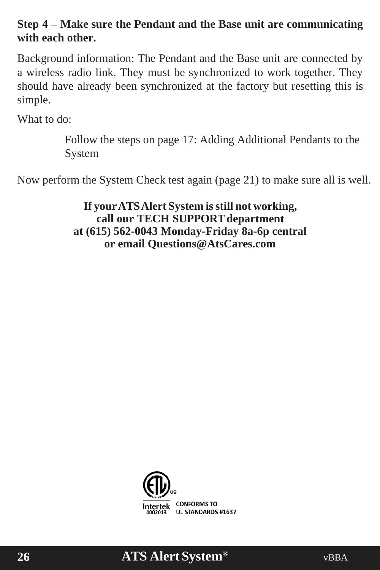### **Step 4 – Make sure the Pendant and the Base unit are communicating with each other.**

Background information: The Pendant and the Base unit are connected by a wireless radio link. They must be synchronized to work together. They should have already been synchronized at the factory but resetting this is simple.

What to do:

Follow the steps on page 17: Adding Additional Pendants to the System

Now perform the System Check test again (page 21) to make sure all is well.

**If yourATSAlert System isstill not working, call our TECH SUPPORTdepartment at (615) 562-0043 Monday-Friday 8a-6p central or e[mail Questions@AtsCares.com](mailto:Questions@AtsCares.com)**



## **ATS AlertSystem® 26** vBBA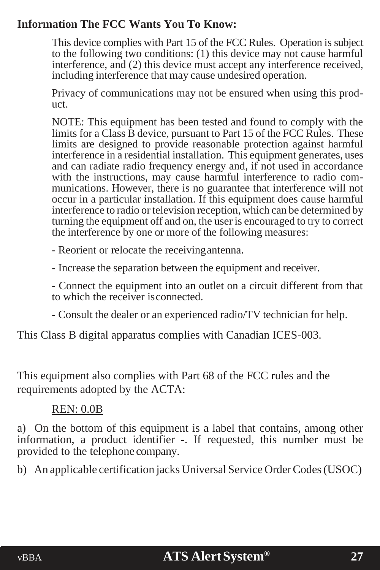#### **Information The FCC Wants You To Know:**

This device complies with Part 15 of the FCC Rules. Operation is subject to the following two conditions: (1) this device may not cause harmful interference, and (2) this device must accept any interference received, including interference that may cause undesired operation.

Privacy of communications may not be ensured when using this product.

NOTE: This equipment has been tested and found to comply with the limits for a Class  $\hat{B}$  device, pursuant to Part 15 of the FCC Rules. These limits are designed to provide reasonable protection against harmful interference in a residential installation. This equipment generates, uses and can radiate radio frequency energy and, if not used in accordance with the instructions, may cause harmful interference to radio communications. However, there is no guarantee that interference will not occur in a particular installation. If this equipment does cause harmful interference to radio or television reception, which can be determined by turning the equipment off and on, the user is encouraged to try to correct the interference by one or more of the following measures:

- Reorient or relocate the receivingantenna.

- Increase the separation between the equipment and receiver.

- Connect the equipment into an outlet on a circuit different from that to which the receiver isconnected.

- Consult the dealer or an experienced radio/TV technician for help.

This Class B digital apparatus complies with Canadian ICES-003.

This equipment also complies with Part 68 of the FCC rules and the requirements adopted by the ACTA:

#### REN: 0.0B

a) On the bottom of this equipment is a label that contains, among other information, a product identifier -. If requested, this number must be provided to the telephone company.

b) An applicable certification jacks Universal Service Order Codes (USOC)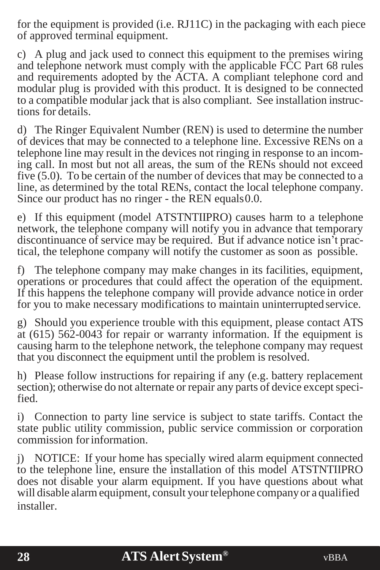for the equipment is provided (i.e. RJ11C) in the packaging with each piece of approved terminal equipment.

c) A plug and jack used to connect this equipment to the premises wiring and telephone network must comply with the applicable FCC Part 68 rules and requirements adopted by the ACTA. A compliant telephone cord and modular plug is provided with this product. It is designed to be connected to a compatible modular jack that is also compliant. See installation instructions for details.

d) The Ringer Equivalent Number (REN) is used to determine the number of devices that may be connected to a telephone line. Excessive RENs on a telephone line may result in the devices not ringing in response to an incoming call. In most but not all areas, the sum of the RENs should not exceed five (5.0). To be certain of the number of devices that may be connected to a line, as determined by the total RENs, contact the local telephone company. Since our product has no ringer - the REN equals 0.0.

e) If this equipment (model ATSTNTIIPRO) causes harm to a telephone network, the telephone company will notify you in advance that temporary discontinuance of service may be required. But if advance notice isn't practical, the telephone company will notify the customer as soon as possible.

f) The telephone company may make changes in its facilities, equipment, operations or procedures that could affect the operation of the equipment. If this happens the telephone company will provide advance notice in order for you to make necessary modifications to maintain uninterrupted service.

g) Should you experience trouble with this equipment, please contact ATS at (615) 562-0043 for repair or warranty information. If the equipment is causing harm to the telephone network, the telephone company may request that you disconnect the equipment until the problem is resolved.

h) Please follow instructions for repairing if any (e.g. battery replacement section); otherwise do not alternate or repair any parts of device except specified.

i) Connection to party line service is subject to state tariffs. Contact the state public utility commission, public service commission or corporation commission forinformation.

j) NOTICE: If your home has specially wired alarm equipment connected to the telephone line, ensure the installation of this model ATSTNTIIPRO does not disable your alarm equipment. If you have questions about what will disable alarm equipment, consult your telephone company or a qualified installer.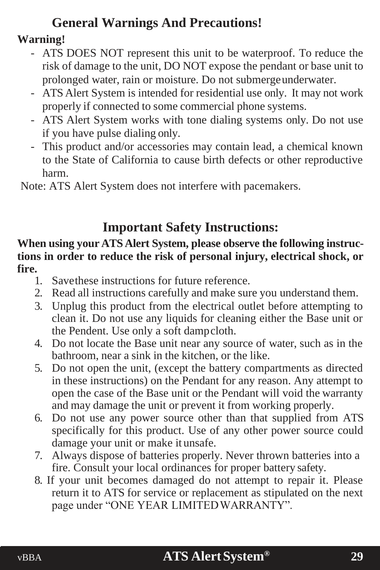## **General Warnings And Precautions!**

### **Warning!**

- ATS DOES NOT represent this unit to be waterproof. To reduce the risk of damage to the unit, DO NOT expose the pendant or base unit to prolonged water, rain or moisture. Do not submergeunderwater.
- ATS Alert System is intended for residential use only. It may not work properly if connected to some commercial phone systems.
- ATS Alert System works with tone dialing systems only. Do not use if you have pulse dialing only.
- This product and/or accessories may contain lead, a chemical known to the State of California to cause birth defects or other reproductive harm.

Note: ATS Alert System does not interfere with pacemakers.

## **Important Safety Instructions:**

#### **When using your ATS Alert System, please observe the following instructions in order to reduce the risk of personal injury, electrical shock, or fire.**

- 1. Savethese instructions for future reference.<br>2. Read all instructions carefully and make sure
- Read all instructions carefully and make sure you understand them.
- 3. Unplug this product from the electrical outlet before attempting to clean it. Do not use any liquids for cleaning either the Base unit or the Pendent. Use only a soft dampcloth.
- 4. Do not locate the Base unit near any source of water, such as in the bathroom, near a sink in the kitchen, or the like.
- 5. Do not open the unit, (except the battery compartments as directed in these instructions) on the Pendant for any reason. Any attempt to open the case of the Base unit or the Pendant will void the warranty and may damage the unit or prevent it from working properly.
- 6. Do not use any power source other than that supplied from ATS specifically for this product. Use of any other power source could damage your unit or make it unsafe.
- 7. Always dispose of batteries properly. Never thrown batteries into a fire. Consult your local ordinances for proper battery safety.
- 8. If your unit becomes damaged do not attempt to repair it. Please return it to ATS for service or replacement as stipulated on the next page under "ONE YEAR LIMITEDWARRANTY".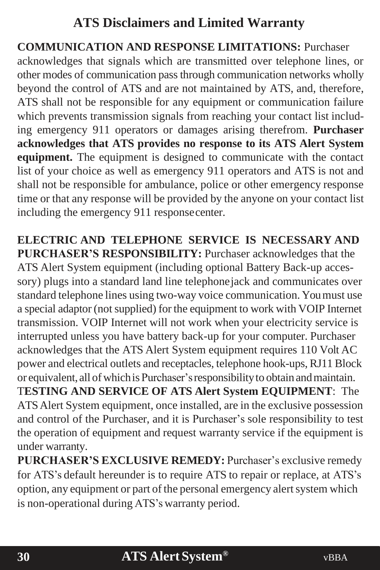## **ATS Disclaimers and Limited Warranty**

### **COMMUNICATION AND RESPONSE LIMITATIONS:** Purchaser

acknowledges that signals which are transmitted over telephone lines, or other modes of communication passthrough communication networks wholly beyond the control of ATS and are not maintained by ATS, and, therefore, ATS shall not be responsible for any equipment or communication failure which prevents transmission signals from reaching your contact list including emergency 911 operators or damages arising therefrom. **Purchaser acknowledges that ATS provides no response to its ATS Alert System equipment.** The equipment is designed to communicate with the contact list of your choice as well as emergency 911 operators and ATS is not and shall not be responsible for ambulance, police or other emergency response time or that any response will be provided by the anyone on your contact list including the emergency 911 responsecenter.

**ELECTRIC AND TELEPHONE SERVICE IS NECESSARY AND PURCHASER'S RESPONSIBILITY:** Purchaser acknowledges that the ATS Alert System equipment (including optional Battery Back-up accessory) plugs into a standard land line telephonejack and communicates over standard telephone lines using two-way voice communication. Youmust use a special adaptor (notsupplied) for the equipment to work with VOIP Internet transmission. VOIP Internet will not work when your electricity service is interrupted unless you have battery back-up for your computer. Purchaser acknowledges that the ATS Alert System equipment requires 110 Volt AC power and electrical outlets and receptacles, telephone hook-ups, RJ11 Block or equivalent, all ofwhichis Purchaser'sresponsibilityto obtain andmaintain. T**ESTING AND SERVICE OF ATS Alert System EQUIPMENT**: The ATSAlert System equipment, once installed, are in the exclusive possession and control of the Purchaser, and it is Purchaser's sole responsibility to test the operation of equipment and request warranty service if the equipment is under warranty.

**PURCHASER'S EXCLUSIVE REMEDY:** Purchaser's exclusive remedy for ATS's default hereunder is to require ATS to repair or replace, at ATS's option, any equipment or part of the personal emergency alert system which is non-operational during ATS's warranty period.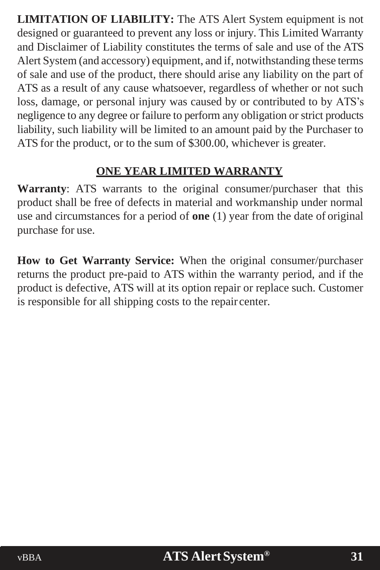**LIMITATION OF LIABILITY:** The ATS Alert System equipment is not designed or guaranteed to prevent any loss or injury. This Limited Warranty and Disclaimer of Liability constitutes the terms of sale and use of the ATS Alert System (and accessory) equipment, and if, notwithstanding these terms of sale and use of the product, there should arise any liability on the part of ATS as a result of any cause whatsoever, regardless of whether or not such loss, damage, or personal injury was caused by or contributed to by ATS's negligence to any degree or failure to perform any obligation or strict products liability, such liability will be limited to an amount paid by the Purchaser to ATS for the product, or to the sum of \$300.00, whichever is greater.

### **ONE YEAR LIMITED WARRANTY**

**Warranty**: ATS warrants to the original consumer/purchaser that this product shall be free of defects in material and workmanship under normal use and circumstances for a period of **one** (1) year from the date of original purchase for use.

**How to Get Warranty Service:** When the original consumer/purchaser returns the product pre-paid to ATS within the warranty period, and if the product is defective, ATS will at its option repair or replace such. Customer is responsible for all shipping costs to the repair center.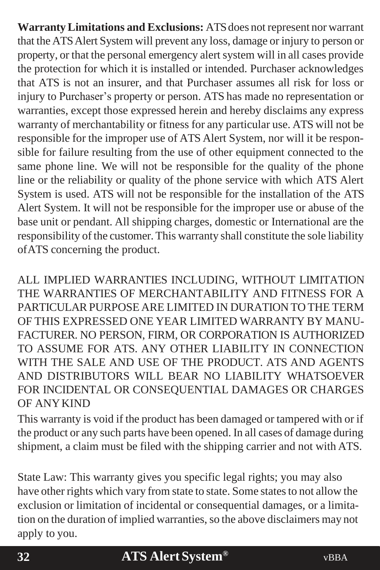**Warranty Limitations and Exclusions:** ATS does not represent nor warrant that the ATSAlert System will prevent any loss, damage or injury to person or property, or that the personal emergency alert system will in all cases provide the protection for which it is installed or intended. Purchaser acknowledges that ATS is not an insurer, and that Purchaser assumes all risk for loss or injury to Purchaser's property or person. ATS has made no representation or warranties, except those expressed herein and hereby disclaims any express warranty of merchantability or fitness for any particular use. ATS will not be responsible for the improper use of ATS Alert System, nor will it be responsible for failure resulting from the use of other equipment connected to the same phone line. We will not be responsible for the quality of the phone line or the reliability or quality of the phone service with which ATS Alert System is used. ATS will not be responsible for the installation of the ATS Alert System. It will not be responsible for the improper use or abuse of the base unit or pendant. All shipping charges, domestic or International are the responsibility of the customer. This warranty shall constitute the sole liability ofATS concerning the product.

ALL IMPLIED WARRANTIES INCLUDING, WITHOUT LIMITATION THE WARRANTIES OF MERCHANTABILITY AND FITNESS FOR A PARTICULAR PURPOSE ARE LIMITED IN DURATION TO THE TERM OF THIS EXPRESSED ONE YEAR LIMITED WARRANTY BY MANU-FACTURER. NO PERSON, FIRM, OR CORPORATION IS AUTHORIZED TO ASSUME FOR ATS. ANY OTHER LIABILITY IN CONNECTION WITH THE SALE AND USE OF THE PRODUCT. ATS AND AGENTS AND DISTRIBUTORS WILL BEAR NO LIABILITY WHATSOEVER FOR INCIDENTAL OR CONSEQUENTIAL DAMAGES OR CHARGES OF ANYKIND

This warranty is void if the product has been damaged or tampered with or if the product or any such parts have been opened. In all cases of damage during shipment, a claim must be filed with the shipping carrier and not with ATS.

State Law: This warranty gives you specific legal rights; you may also have other rights which vary from state to state. Some states to not allow the exclusion or limitation of incidental or consequential damages, or a limitation on the duration of implied warranties, so the above disclaimers may not apply to you.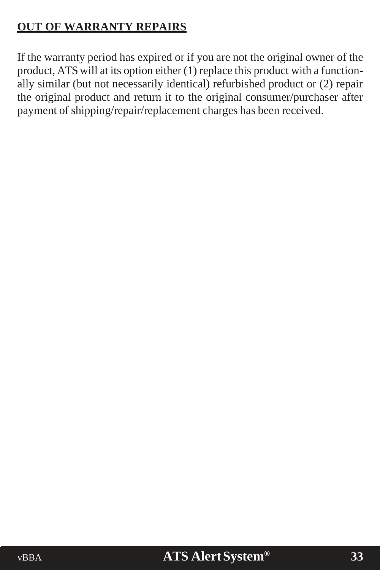### **OUT OF WARRANTY REPAIRS**

If the warranty period has expired or if you are not the original owner of the product, ATSwill at its option either (1) replace this product with a functionally similar (but not necessarily identical) refurbished product or (2) repair the original product and return it to the original consumer/purchaser after payment of shipping/repair/replacement charges has been received.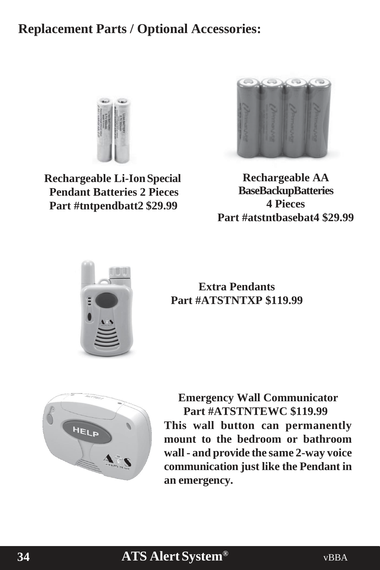### **Replacement Parts / Optional Accessories:**



**Rechargeable Li-IonSpecial Pendant Batteries 2 Pieces Part #tntpendbatt2 \$29.99**



**Rechargeable AA BaseBackupBatteries 4 Pieces Part #atstntbasebat4 \$29.99**



**Extra Pendants Part #ATSTNTXP \$119.99**



**Emergency Wall Communicator Part #ATSTNTEWC \$119.99 This wall button can permanently mount to the bedroom or bathroom wall - and provide the same 2-way voice communication just like the Pendant in an emergency.**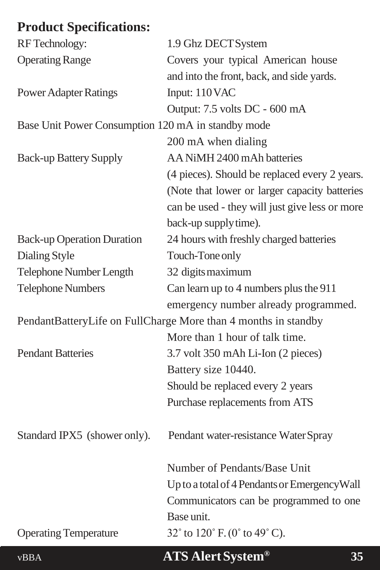## <span id="page-34-0"></span>**Product Specifications:**

| <b>RF</b> Technology:                                          | 1.9 Ghz DECT System                                                   |  |
|----------------------------------------------------------------|-----------------------------------------------------------------------|--|
| <b>Operating Range</b>                                         | Covers your typical American house                                    |  |
|                                                                | and into the front, back, and side yards.                             |  |
| <b>Power Adapter Ratings</b>                                   | Input: 110 VAC                                                        |  |
|                                                                | Output: 7.5 volts DC - 600 mA                                         |  |
| Base Unit Power Consumption 120 mA in standby mode             |                                                                       |  |
|                                                                | 200 mA when dialing                                                   |  |
| <b>Back-up Battery Supply</b>                                  | AA NiMH 2400 mAh batteries                                            |  |
|                                                                | (4 pieces). Should be replaced every 2 years.                         |  |
|                                                                | (Note that lower or larger capacity batteries                         |  |
|                                                                | can be used - they will just give less or more                        |  |
|                                                                | back-up supply time).                                                 |  |
| <b>Back-up Operation Duration</b>                              | 24 hours with freshly charged batteries                               |  |
| Dialing Style                                                  | Touch-Tone only                                                       |  |
| Telephone Number Length                                        | 32 digits maximum                                                     |  |
| <b>Telephone Numbers</b>                                       | Can learn up to 4 numbers plus the 911                                |  |
|                                                                | emergency number already programmed.                                  |  |
| PendantBatteryLife on FullCharge More than 4 months in standby |                                                                       |  |
|                                                                | More than 1 hour of talk time.                                        |  |
| <b>Pendant Batteries</b>                                       | 3.7 volt 350 mAh Li-Ion (2 pieces)                                    |  |
|                                                                | Battery size 10440.                                                   |  |
|                                                                | Should be replaced every 2 years                                      |  |
|                                                                | Purchase replacements from ATS                                        |  |
| Standard IPX5 (shower only).                                   | Pendant water-resistance Water Spray                                  |  |
|                                                                | Number of Pendants/Base Unit                                          |  |
|                                                                | Up to a total of 4 Pendants or Emergency Wall                         |  |
|                                                                | Communicators can be programmed to one                                |  |
|                                                                | Base unit.                                                            |  |
| <b>Operating Temperature</b>                                   | 32 $^{\circ}$ to 120 $^{\circ}$ F. (0 $^{\circ}$ to 49 $^{\circ}$ C). |  |
| <b>vBBA</b>                                                    | <b>ATS Alert System®</b><br>35                                        |  |